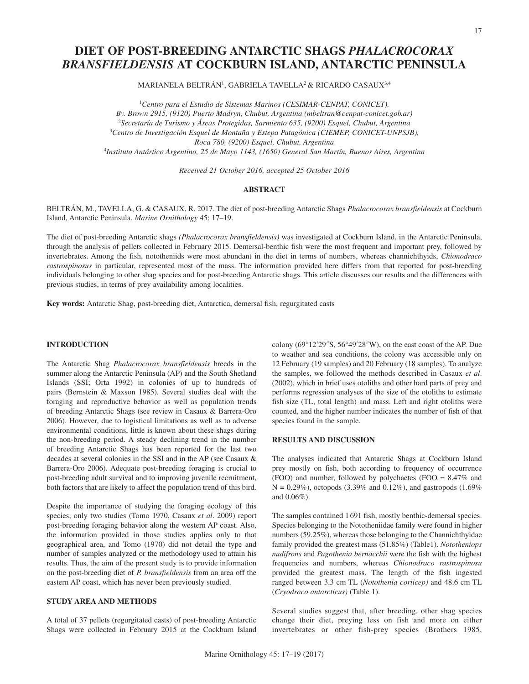# **DIET OF POST-BREEDING ANTARCTIC SHAGS** *PHALACROCORAX BRANSFIELDENSIS* **AT COCKBURN ISLAND, ANTARCTIC PENINSULA**

MARIANELA BELTRÁN1, GABRIELA TAVELLA2 & RICARDO CASAUX3,4

*Centro para el Estudio de Sistemas Marinos (CESIMAR-CENPAT, CONICET), Bv. Brown 2915, (9120) Puerto Madryn, Chubut, Argentina [\(mbeltran@cenpat-conicet.gob.ar\)](mailto:mbeltran@cenpat-conicet.gob.ar) Secretaría de Turismo y Áreas Protegidas, Sarmiento 635, (9200) Esquel, Chubut, Argentina Centro de Investigación Esquel de Montaña y Estepa Patagónica (CIEMEP, CONICET-UNPSJB), Roca 780, (9200) Esquel, Chubut, Argentina Instituto Antártico Argentino, 25 de Mayo 1143, (1650) General San Martín, Buenos Aires, Argentina*

*Received 21 October 2016, accepted 25 October 2016*

### **ABSTRACT**

BELTRÁN, M., TAVELLA, G. & CASAUX, R. 2017. The diet of post-breeding Antarctic Shags *Phalacrocorax bransfieldensis* at Cockburn Island, Antarctic Peninsula. *Marine Ornithology* 45: 17–19.

The diet of post-breeding Antarctic shags *(Phalacrocorax bransfieldensis)* was investigated at Cockburn Island, in the Antarctic Peninsula, through the analysis of pellets collected in February 2015. Demersal-benthic fish were the most frequent and important prey, followed by invertebrates. Among the fish, nototheniids were most abundant in the diet in terms of numbers, whereas channichthyids, *Chionodraco rastrospinosus* in particular, represented most of the mass. The information provided here differs from that reported for post-breeding individuals belonging to other shag species and for post-breeding Antarctic shags. This article discusses our results and the differences with previous studies, in terms of prey availability among localities.

**Key words:** Antarctic Shag, post-breeding diet, Antarctica, demersal fish, regurgitated casts

## **INTRODUCTION**

The Antarctic Shag *Phalacrocorax bransfieldensis* breeds in the summer along the Antarctic Peninsula (AP) and the South Shetland Islands (SSI; Orta 1992) in colonies of up to hundreds of pairs (Bernstein & Maxson 1985). Several studies deal with the foraging and reproductive behavior as well as population trends of breeding Antarctic Shags (see review in Casaux & Barrera-Oro 2006). However, due to logistical limitations as well as to adverse environmental conditions, little is known about these shags during the non-breeding period. A steady declining trend in the number of breeding Antarctic Shags has been reported for the last two decades at several colonies in the SSI and in the AP (see Casaux & Barrera-Oro 2006). Adequate post-breeding foraging is crucial to post-breeding adult survival and to improving juvenile recruitment, both factors that are likely to affect the population trend of this bird.

Despite the importance of studying the foraging ecology of this species, only two studies (Tomo 1970, Casaux *et al*. 2009) report post-breeding foraging behavior along the western AP coast. Also, the information provided in those studies applies only to that geographical area, and Tomo (1970) did not detail the type and number of samples analyzed or the methodology used to attain his results. Thus, the aim of the present study is to provide information on the post-breeding diet of *P. bransfieldensis* from an area off the eastern AP coast, which has never been previously studied.

# **STUDY AREA AND METHODS**

A total of 37 pellets (regurgitated casts) of post-breeding Antarctic Shags were collected in February 2015 at the Cockburn Island colony (69°12′29″S, 56°49′28″W), on the east coast of the AP. Due to weather and sea conditions, the colony was accessible only on 12 February (19 samples) and 20 February (18 samples). To analyze the samples, we followed the methods described in Casaux *et al*. (2002), which in brief uses otoliths and other hard parts of prey and performs regression analyses of the size of the otoliths to estimate fish size (TL, total length) and mass. Left and right otoliths were counted, and the higher number indicates the number of fish of that species found in the sample.

#### **RESULTS AND DISCUSSION**

The analyses indicated that Antarctic Shags at Cockburn Island prey mostly on fish, both according to frequency of occurrence (FOO) and number, followed by polychaetes (FOO = 8.47% and  $N = 0.29\%$ ), octopods (3.39% and 0.12%), and gastropods (1.69%) and 0.06%).

The samples contained 1691 fish, mostly benthic-demersal species. Species belonging to the Nototheniidae family were found in higher numbers (59.25%), whereas those belonging to the Channichthyidae family provided the greatest mass (51.85%) (Table1). *Nototheniops nudifrons* and *Pagothenia bernacchii* were the fish with the highest frequencies and numbers, whereas *Chionodraco rastrospinosu*  provided the greatest mass. The length of the fish ingested ranged between 3.3 cm TL (*Notothenia coriicep)* and 48.6 cm TL (*Cryodraco antarcticus)* (Table 1).

Several studies suggest that, after breeding, other shag species change their diet, preying less on fish and more on either invertebrates or other fish-prey species (Brothers 1985,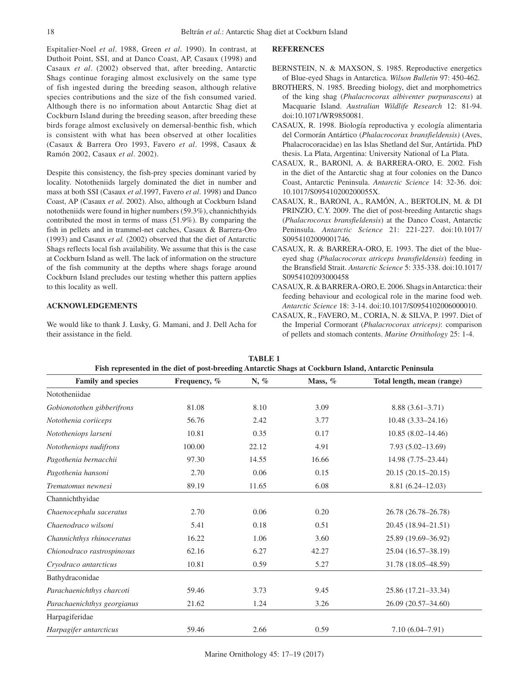Espitalier-Noel *et al*. 1988, Green *et al*. 1990). In contrast, at Duthoit Point, SSI, and at Danco Coast, AP, Casaux (1998) and Casaux *et al*. (2002) observed that, after breeding, Antarctic Shags continue foraging almost exclusively on the same type of fish ingested during the breeding season, although relative species contributions and the size of the fish consumed varied. Although there is no information about Antarctic Shag diet at Cockburn Island during the breeding season, after breeding these birds forage almost exclusively on demersal-benthic fish, which is consistent with what has been observed at other localities (Casaux & Barrera Oro 1993, Favero *et al*. 1998, Casaux & Ramón 2002, Casaux *et al*. 2002).

Despite this consistency, the fish-prey species dominant varied by locality. Nototheniids largely dominated the diet in number and mass at both SSI (Casaux *et al*.1997, Favero *et al*. 1998) and Danco Coast, AP (Casaux *et al*. 2002). Also, although at Cockburn Island nototheniids were found in higher numbers (59.3%), channichthyids contributed the most in terms of mass (51.9%). By comparing the fish in pellets and in trammel-net catches, Casaux & Barrera-Oro (1993) and Casaux *et al.* (2002) observed that the diet of Antarctic Shags reflects local fish availability. We assume that this is the case at Cockburn Island as well. The lack of information on the structure of the fish community at the depths where shags forage around Cockburn Island precludes our testing whether this pattern applies to this locality as well.

## **ACKNOWLEDGEMENTS**

We would like to thank J. Lusky, G. Mamani, and J. Dell Acha for their assistance in the field.

#### **REFERENCES**

- BERNSTEIN, N. & MAXSON, S. 1985. Reproductive energetics of Blue-eyed Shags in Antarctica. *Wilson Bulletin* 97: 450-462.
- BROTHERS, N. 1985. Breeding biology, diet and morphometrics of the king shag (*Phalacrocorax albiventer purpurascens*) at Macquarie Island. *Australian Wildlife Research* 12: 81-94. doi:10.1071/WR9850081.
- CASAUX, R. 1998. Biología reproductiva y ecología alimentaria del Cormorán Antártico (*Phalacrocorax bransfieldensis)* (Aves, Phalacrocoracidae) en las Islas Shetland del Sur, Antártida. PhD thesis. La Plata, Argentina: University National of La Plata.
- CASAUX, R., BARONI, A. & BARRERA-ORO, E. 2002. Fish in the diet of the Antarctic shag at four colonies on the Danco Coast, Antarctic Peninsula. *Antarctic Science* 14: 32-36. doi: 10.1017/S095410200200055X.
- CASAUX, R., BARONI, A., RAMÓN, A., BERTOLIN, M. & DI PRINZIO, C.Y. 2009. The diet of post-breeding Antarctic shags (*Phalacrocorax bransfieldensis*) at the Danco Coast, Antarctic Peninsula. *Antarctic Science* 21: 221-227. doi[:10.1017/](http://dx.doi.org/10.1017/S0954102009001746) [S0954102009001746](http://dx.doi.org/10.1017/S0954102009001746).
- CASAUX, R. & BARRERA-ORO, E. 1993. The diet of the blueeyed shag (*Phalacrocorax atriceps bransfieldensis*) feeding in the Bransfield Strait. *Antarctic Science* 5: 335-338. doi[:10.1017/](http://dx.doi.org/10.1017/S0954102093000458) [S0954102093000458](http://dx.doi.org/10.1017/S0954102093000458)
- CASAUX, R. & BARRERA-ORO, E. 2006. Shags in Antarctica: their feeding behaviour and ecological role in the marine food web. *Antarctic Science* 18: 3-14. doi:[10.1017/S0954102006000010.](http://dx.doi.org/10.1017/S0954102006000010)
- CASAUX, R., FAVERO, M., CORIA, N. & SILVA, P. 1997. Diet of the Imperial Cormorant (*Phalacrocorax atriceps)*: comparison of pellets and stomach contents. *Marine Ornithology* 25: 1-4.

| Fish represented in the diet of post-breeding Antarctic Shags at Cockburn Island, Antarctic Peninsula |              |       |           |                            |
|-------------------------------------------------------------------------------------------------------|--------------|-------|-----------|----------------------------|
| <b>Family and species</b>                                                                             | Frequency, % | N, %  | Mass, $%$ | Total length, mean (range) |
| Nototheniidae                                                                                         |              |       |           |                            |
| Gobionotothen gibberifrons                                                                            | 81.08        | 8.10  | 3.09      | $8.88(3.61-3.71)$          |
| Notothenia coriiceps                                                                                  | 56.76        | 2.42  | 3.77      | $10.48(3.33 - 24.16)$      |
| Nototheniops larseni                                                                                  | 10.81        | 0.35  | 0.17      | $10.85(8.02 - 14.46)$      |
| Nototheniops nudifrons                                                                                | 100.00       | 22.12 | 4.91      | $7.93(5.02 - 13.69)$       |
| Pagothenia bernacchii                                                                                 | 97.30        | 14.55 | 16.66     | 14.98 (7.75-23.44)         |
| Pagothenia hansoni                                                                                    | 2.70         | 0.06  | 0.15      | $20.15(20.15-20.15)$       |
| Trematomus newnesi                                                                                    | 89.19        | 11.65 | 6.08      | 8.81 (6.24-12.03)          |
| Channichthyidae                                                                                       |              |       |           |                            |
| Chaenocephalu saceratus                                                                               | 2.70         | 0.06  | 0.20      | 26.78 (26.78-26.78)        |
| Chaenodraco wilsoni                                                                                   | 5.41         | 0.18  | 0.51      | 20.45 (18.94-21.51)        |
| Channichthys rhinoceratus                                                                             | 16.22        | 1.06  | 3.60      | 25.89 (19.69-36.92)        |
| Chionodraco rastrospinosus                                                                            | 62.16        | 6.27  | 42.27     | 25.04 (16.57-38.19)        |
| Cryodraco antarcticus                                                                                 | 10.81        | 0.59  | 5.27      | 31.78 (18.05-48.59)        |
| Bathydraconidae                                                                                       |              |       |           |                            |
| Parachaenichthys charcoti                                                                             | 59.46        | 3.73  | 9.45      | 25.86 (17.21-33.34)        |
| Parachaenichthys georgianus                                                                           | 21.62        | 1.24  | 3.26      | 26.09 (20.57-34.60)        |
| Harpagiferidae                                                                                        |              |       |           |                            |
| Harpagifer antarcticus                                                                                | 59.46        | 2.66  | 0.59      | $7.10(6.04 - 7.91)$        |

**TABLE 1**